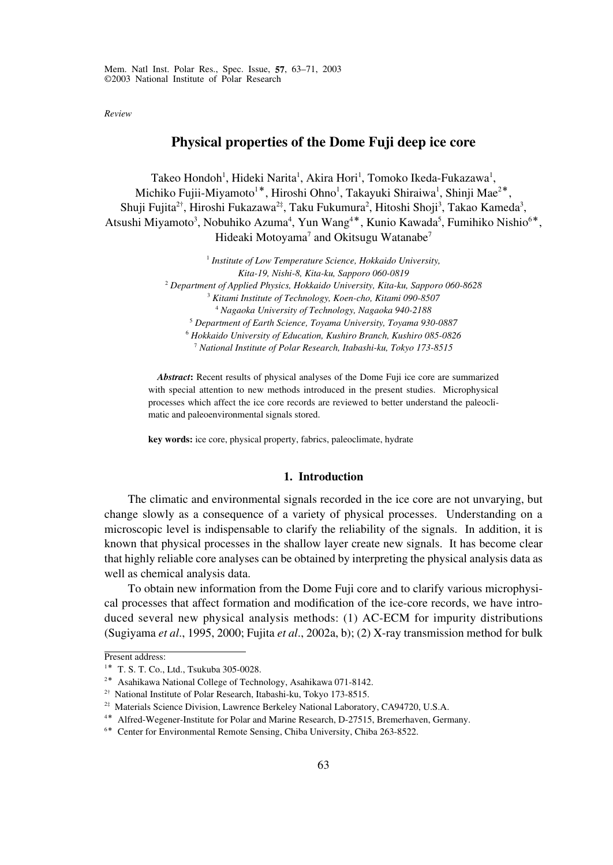*Review*

# **Physical properties of the Dome Fuji deep ice core**

Takeo Hondoh<sup>1</sup>, Hideki Narita<sup>1</sup>, Akira Hori<sup>1</sup>, Tomoko Ikeda-Fukazawa<sup>1</sup>, Michiko Fujii-Miyamoto<sup>1\*</sup>, Hiroshi Ohno<sup>1</sup>, Takayuki Shiraiwa<sup>1</sup>, Shinji Mae<sup>2\*</sup>, Shuji Fujita $^{2\dagger}$ , Hiroshi Fukazawa $^{2\dagger}$ , Taku Fukumura $^2$ , Hitoshi Shoji $^3$ , Takao Kameda $^3$ , Atsushi Miyamoto<sup>3</sup>, Nobuhiko Azuma<sup>4</sup>, Yun Wang<sup>4\*</sup>, Kunio Kawada<sup>5</sup>, Fumihiko Nishio<sup>6\*</sup>, Hideaki Motoyama<sup>7</sup> and Okitsugu Watanabe<sup>7</sup>

> *Institute of Low Temperature Science, Hokkaido University, Kita-19, Nishi-8, Kita-ku, Sapporo 060-0819 Department of Applied Physics, Hokkaido University, Kita-ku, Sapporo 060-8628 Kitami Institute of Technology, Koen-cho, Kitami 090-8507 Nagaoka University of Technology, Nagaoka 940-2188 Department of Earth Science, Toyama University, Toyama 930-0887 Hokkaido University of Education, Kushiro Branch, Kushiro 085-0826 National Institute of Polar Research, Itabashi-ku, Tokyo 173-8515*

*Abstract***:** Recent results of physical analyses of the Dome Fuji ice core are summarized with special attention to new methods introduced in the present studies. Microphysical processes which affect the ice core records are reviewed to better understand the paleoclimatic and paleoenvironmental signals stored.

**key words:** ice core, physical property, fabrics, paleoclimate, hydrate

# **1. Introduction**

The climatic and environmental signals recorded in the ice core are not unvarying, but change slowly as a consequence of a variety of physical processes. Understanding on a microscopic level is indispensable to clarify the reliability of the signals. In addition, it is known that physical processes in the shallow layer create new signals. It has become clear that highly reliable core analyses can be obtained by interpreting the physical analysis data as well as chemical analysis data.

To obtain new information from the Dome Fuji core and to clarify various microphysical processes that affect formation and modification of the ice-core records, we have introduced several new physical analysis methods: (1) AC-ECM for impurity distributions (Sugiyama *et al*., 1995, 2000; Fujita *et al*., 2002a, b); (2) X-ray transmission method for bulk

Present address:

<sup>1</sup>\* T. S. T. Co., Ltd., Tsukuba 305-0028.

<sup>2</sup>\* Asahikawa National College of Technology, Asahikawa 071-8142.

 $2\dagger$  National Institute of Polar Research, Itabashi-ku, Tokyo 173-8515.

<sup>2‡</sup> Materials Science Division, Lawrence Berkeley National Laboratory, CA94720, U.S.A.

<sup>4</sup>\* Alfred-Wegener-Institute for Polar and Marine Research, D-27515, Bremerhaven, Germany.

<sup>6</sup>\* Center for Environmental Remote Sensing, Chiba University, Chiba 263-8522.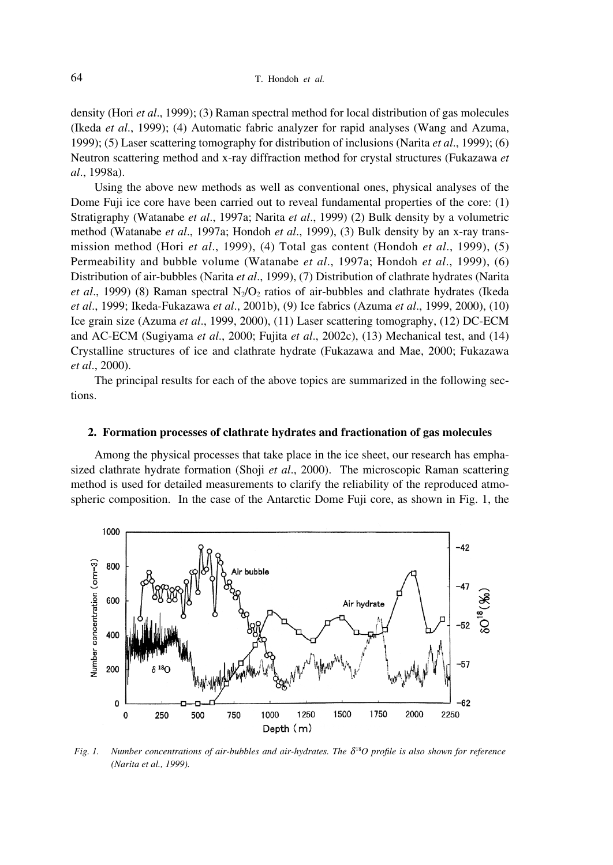density (Hori *et al*., 1999); (3) Raman spectral method for local distribution of gas molecules (Ikeda *et al*., 1999); (4) Automatic fabric analyzer for rapid analyses (Wang and Azuma, 1999); (5) Laser scattering tomography for distribution of inclusions (Narita *et al*., 1999); (6) Neutron scattering method and x-ray diffraction method for crystal structures (Fukazawa *et al*., 1998a).

Using the above new methods as well as conventional ones, physical analyses of the Dome Fuji ice core have been carried out to reveal fundamental properties of the core: (1) Stratigraphy (Watanabe *et al*., 1997a; Narita *et al*., 1999) (2) Bulk density by a volumetric method (Watanabe *et al*., 1997a; Hondoh *et al*., 1999), (3) Bulk density by an x-ray transmission method (Hori *et al*., 1999), (4) Total gas content (Hondoh *et al*., 1999), (5) Permeability and bubble volume (Watanabe *et al*., 1997a; Hondoh *et al*., 1999), (6) Distribution of air-bubbles (Narita *et al*., 1999), (7) Distribution of clathrate hydrates (Narita *et al.*, 1999) (8) Raman spectral  $N<sub>2</sub>/O<sub>2</sub>$  ratios of air-bubbles and clathrate hydrates (Ikeda *et al*., 1999; Ikeda-Fukazawa *et al*., 2001b), (9) Ice fabrics (Azuma *et al*., 1999, 2000), (10) Ice grain size (Azuma *et al*., 1999, 2000), (11) Laser scattering tomography, (12) DC-ECM and AC-ECM (Sugiyama *et al*., 2000; Fujita *et al*., 2002c), (13) Mechanical test, and (14) Crystalline structures of ice and clathrate hydrate (Fukazawa and Mae, 2000; Fukazawa *et al*., 2000).

The principal results for each of the above topics are summarized in the following sections.

## **2. Formation processes of clathrate hydrates and fractionation of gas molecules**

Among the physical processes that take place in the ice sheet, our research has emphasized clathrate hydrate formation (Shoji *et al*., 2000). The microscopic Raman scattering method is used for detailed measurements to clarify the reliability of the reproduced atmospheric composition. In the case of the Antarctic Dome Fuji core, as shown in Fig. 1, the



*Fig. 1. Number concentrations of air-bubbles and air-hydrates. The*  $\delta^{18}O$  *profile is also shown for reference (Narita et al., 1999).*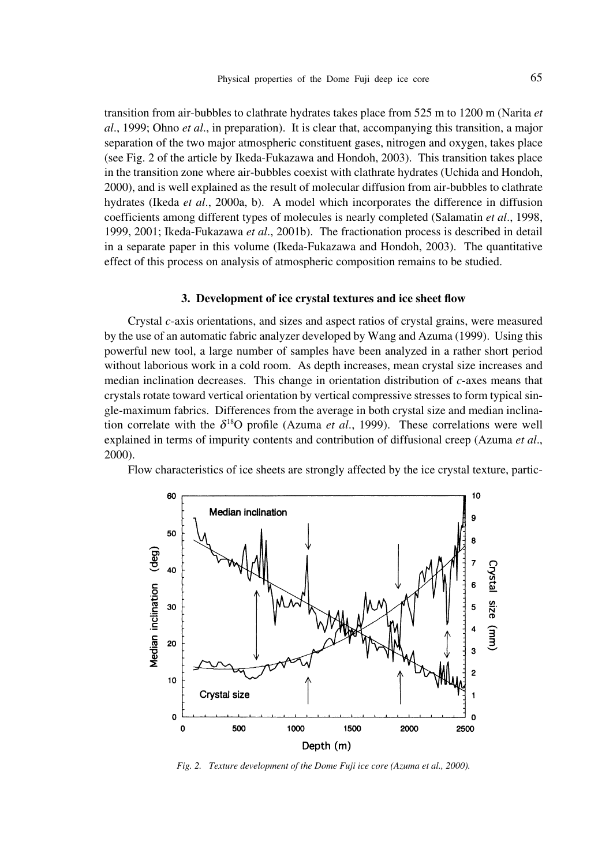transition from air-bubbles to clathrate hydrates takes place from 525 m to 1200 m (Narita *et al*., 1999; Ohno *et al*., in preparation). It is clear that, accompanying this transition, a major separation of the two major atmospheric constituent gases, nitrogen and oxygen, takes place (see Fig. 2 of the article by Ikeda-Fukazawa and Hondoh, 2003). This transition takes place in the transition zone where air-bubbles coexist with clathrate hydrates (Uchida and Hondoh, 2000), and is well explained as the result of molecular diffusion from air-bubbles to clathrate hydrates (Ikeda *et al*., 2000a, b). A model which incorporates the difference in diffusion coefficients among different types of molecules is nearly completed (Salamatin *et al*., 1998, 1999, 2001; Ikeda-Fukazawa *et al*., 2001b). The fractionation process is described in detail in a separate paper in this volume (Ikeda-Fukazawa and Hondoh, 2003). The quantitative effect of this process on analysis of atmospheric composition remains to be studied.

#### **3. Development of ice crystal textures and ice sheet flow**

Crystal *c*-axis orientations, and sizes and aspect ratios of crystal grains, were measured by the use of an automatic fabric analyzer developed by Wang and Azuma (1999). Using this powerful new tool, a large number of samples have been analyzed in a rather short period without laborious work in a cold room. As depth increases, mean crystal size increases and median inclination decreases. This change in orientation distribution of *c*-axes means that crystals rotate toward vertical orientation by vertical compressive stresses to form typical single-maximum fabrics. Differences from the average in both crystal size and median inclination correlate with the  $\delta^{18}O$  profile (Azuma *et al.*, 1999). These correlations were well explained in terms of impurity contents and contribution of diffusional creep (Azuma *et al*., 2000).

Flow characteristics of ice sheets are strongly affected by the ice crystal texture, partic-



*Fig. 2. Texture development of the Dome Fuji ice core (Azuma et al., 2000).*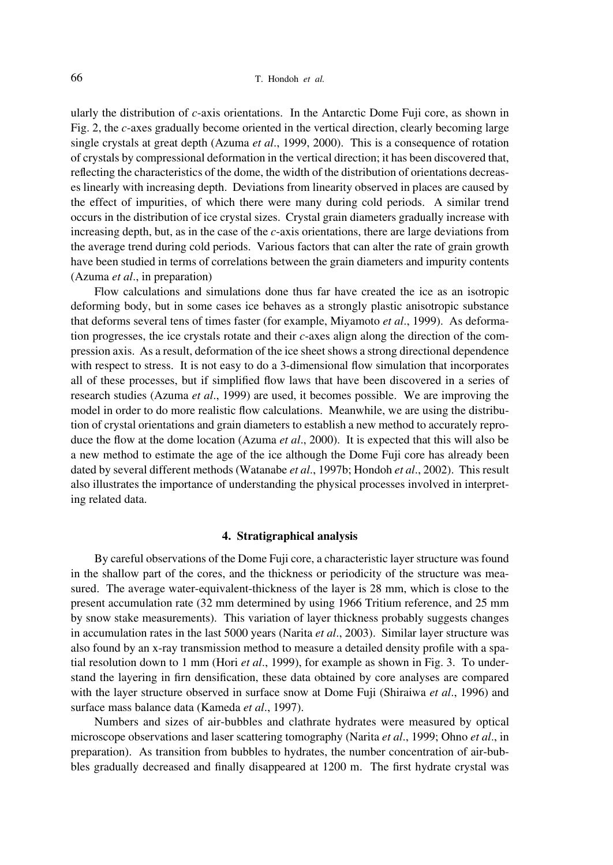ularly the distribution of *c*-axis orientations. In the Antarctic Dome Fuji core, as shown in Fig. 2, the *c*-axes gradually become oriented in the vertical direction, clearly becoming large single crystals at great depth (Azuma *et al*., 1999, 2000). This is a consequence of rotation of crystals by compressional deformation in the vertical direction; it has been discovered that, reflecting the characteristics of the dome, the width of the distribution of orientations decreases linearly with increasing depth. Deviations from linearity observed in places are caused by the effect of impurities, of which there were many during cold periods. A similar trend occurs in the distribution of ice crystal sizes. Crystal grain diameters gradually increase with increasing depth, but, as in the case of the *c*-axis orientations, there are large deviations from the average trend during cold periods. Various factors that can alter the rate of grain growth have been studied in terms of correlations between the grain diameters and impurity contents (Azuma *et al*., in preparation)

Flow calculations and simulations done thus far have created the ice as an isotropic deforming body, but in some cases ice behaves as a strongly plastic anisotropic substance that deforms several tens of times faster (for example, Miyamoto *et al*., 1999). As deformation progresses, the ice crystals rotate and their *c*-axes align along the direction of the compression axis. As a result, deformation of the ice sheet shows a strong directional dependence with respect to stress. It is not easy to do a 3-dimensional flow simulation that incorporates all of these processes, but if simplified flow laws that have been discovered in a series of research studies (Azuma *et al*., 1999) are used, it becomes possible. We are improving the model in order to do more realistic flow calculations. Meanwhile, we are using the distribution of crystal orientations and grain diameters to establish a new method to accurately reproduce the flow at the dome location (Azuma *et al*., 2000). It is expected that this will also be a new method to estimate the age of the ice although the Dome Fuji core has already been dated by several different methods (Watanabe *et al*., 1997b; Hondoh *et al*., 2002). This result also illustrates the importance of understanding the physical processes involved in interpreting related data.

# **4. Stratigraphical analysis**

By careful observations of the Dome Fuji core, a characteristic layer structure was found in the shallow part of the cores, and the thickness or periodicity of the structure was measured. The average water-equivalent-thickness of the layer is 28 mm, which is close to the present accumulation rate (32 mm determined by using 1966 Tritium reference, and 25 mm by snow stake measurements). This variation of layer thickness probably suggests changes in accumulation rates in the last 5000 years (Narita *et al*., 2003). Similar layer structure was also found by an x-ray transmission method to measure a detailed density profile with a spatial resolution down to 1 mm (Hori *et al*., 1999), for example as shown in Fig. 3. To understand the layering in firn densification, these data obtained by core analyses are compared with the layer structure observed in surface snow at Dome Fuji (Shiraiwa *et al*., 1996) and surface mass balance data (Kameda *et al*., 1997).

Numbers and sizes of air-bubbles and clathrate hydrates were measured by optical microscope observations and laser scattering tomography (Narita *et al*., 1999; Ohno *et al*., in preparation). As transition from bubbles to hydrates, the number concentration of air-bubbles gradually decreased and finally disappeared at 1200 m. The first hydrate crystal was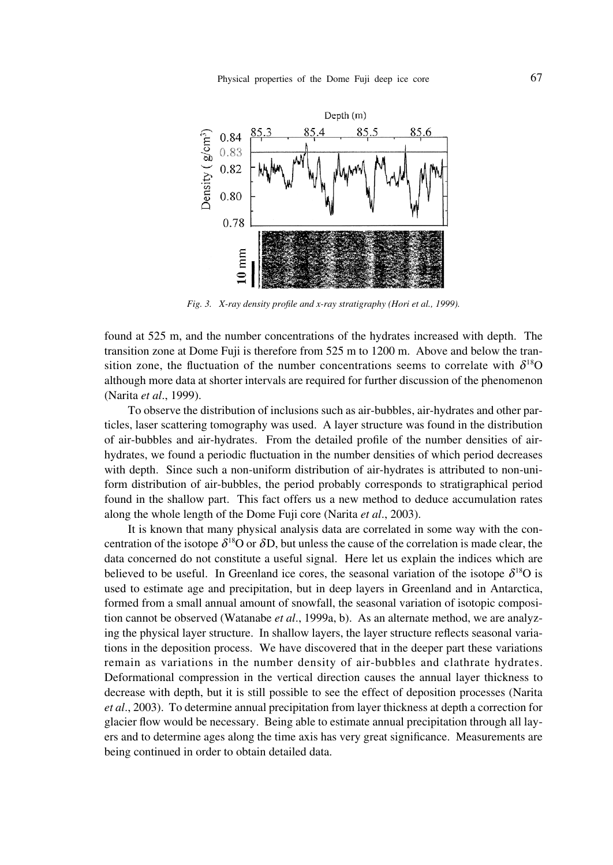

*Fig. 3. X-ray density profile and x-ray stratigraphy (Hori et al., 1999).*

found at 525 m, and the number concentrations of the hydrates increased with depth. The transition zone at Dome Fuji is therefore from 525 m to 1200 m. Above and below the transition zone, the fluctuation of the number concentrations seems to correlate with  $\delta^{18}O$ although more data at shorter intervals are required for further discussion of the phenomenon (Narita *et al*., 1999).

To observe the distribution of inclusions such as air-bubbles, air-hydrates and other particles, laser scattering tomography was used. A layer structure was found in the distribution of air-bubbles and air-hydrates. From the detailed profile of the number densities of airhydrates, we found a periodic fluctuation in the number densities of which period decreases with depth. Since such a non-uniform distribution of air-hydrates is attributed to non-uniform distribution of air-bubbles, the period probably corresponds to stratigraphical period found in the shallow part. This fact offers us a new method to deduce accumulation rates along the whole length of the Dome Fuji core (Narita *et al*., 2003).

It is known that many physical analysis data are correlated in some way with the concentration of the isotope  $\delta^{18}$ O or  $\delta$ D, but unless the cause of the correlation is made clear, the data concerned do not constitute a useful signal. Here let us explain the indices which are believed to be useful. In Greenland ice cores, the seasonal variation of the isotope  $\delta^{18}O$  is used to estimate age and precipitation, but in deep layers in Greenland and in Antarctica, formed from a small annual amount of snowfall, the seasonal variation of isotopic composition cannot be observed (Watanabe *et al*., 1999a, b). As an alternate method, we are analyzing the physical layer structure. In shallow layers, the layer structure reflects seasonal variations in the deposition process. We have discovered that in the deeper part these variations remain as variations in the number density of air-bubbles and clathrate hydrates. Deformational compression in the vertical direction causes the annual layer thickness to decrease with depth, but it is still possible to see the effect of deposition processes (Narita *et al*., 2003). To determine annual precipitation from layer thickness at depth a correction for glacier flow would be necessary. Being able to estimate annual precipitation through all layers and to determine ages along the time axis has very great significance. Measurements are being continued in order to obtain detailed data.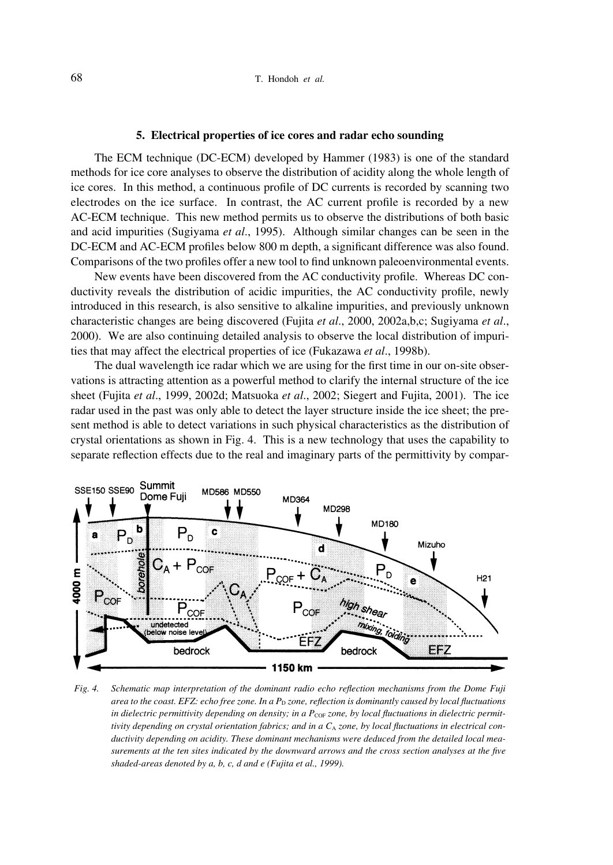### **5. Electrical properties of ice cores and radar echo sounding**

The ECM technique (DC-ECM) developed by Hammer (1983) is one of the standard methods for ice core analyses to observe the distribution of acidity along the whole length of ice cores. In this method, a continuous profile of DC currents is recorded by scanning two electrodes on the ice surface. In contrast, the AC current profile is recorded by a new AC-ECM technique. This new method permits us to observe the distributions of both basic and acid impurities (Sugiyama *et al*., 1995). Although similar changes can be seen in the DC-ECM and AC-ECM profiles below 800 m depth, a significant difference was also found. Comparisons of the two profiles offer a new tool to find unknown paleoenvironmental events.

New events have been discovered from the AC conductivity profile. Whereas DC conductivity reveals the distribution of acidic impurities, the AC conductivity profile, newly introduced in this research, is also sensitive to alkaline impurities, and previously unknown characteristic changes are being discovered (Fujita *et al*., 2000, 2002a,b,c; Sugiyama *et al*., 2000). We are also continuing detailed analysis to observe the local distribution of impurities that may affect the electrical properties of ice (Fukazawa *et al*., 1998b).

The dual wavelength ice radar which we are using for the first time in our on-site observations is attracting attention as a powerful method to clarify the internal structure of the ice sheet (Fujita *et al*., 1999, 2002d; Matsuoka *et al*., 2002; Siegert and Fujita, 2001). The ice radar used in the past was only able to detect the layer structure inside the ice sheet; the present method is able to detect variations in such physical characteristics as the distribution of crystal orientations as shown in Fig. 4. This is a new technology that uses the capability to separate reflection effects due to the real and imaginary parts of the permittivity by compar-



*Fig. 4. Schematic map interpretation of the dominant radio echo reflection mechanisms from the Dome Fuji area to the coast. EFZ: echo free zone. In a P<sub>D</sub> zone, reflection is dominantly caused by local fluctuations in dielectric permittivity depending on density; in a PcoF zone, by local fluctuations in dielectric permittivity depending on crystal orientation fabrics; and in a C<sub>A</sub> <i>zone, by local fluctuations in electrical conductivity depending on acidity. These dominant mechanisms were deduced from the detailed local measurements at the ten sites indicated by the downward arrows and the cross section analyses at the five shaded-areas denoted by a, b, c, d and e (Fujita et al., 1999).*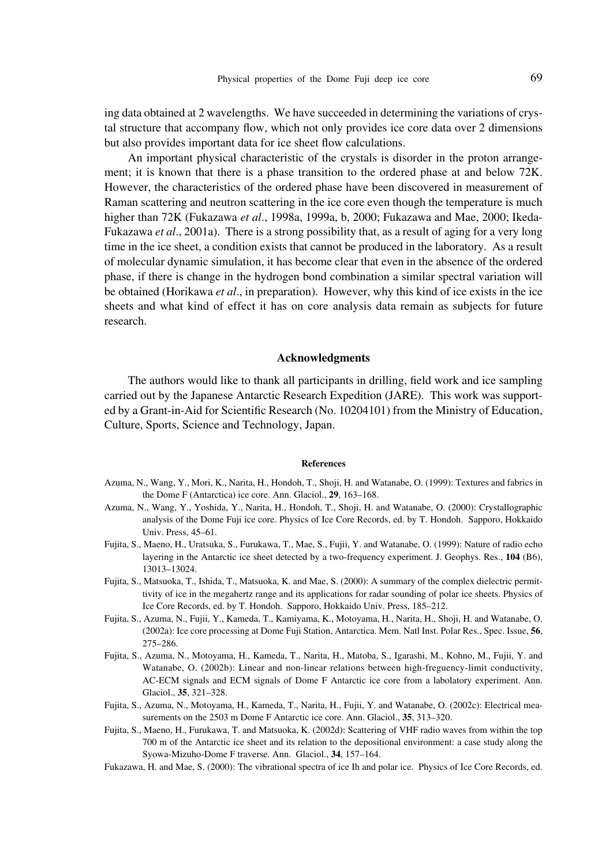ing data obtained at 2 wavelengths. We have succeeded in determining the variations of crystal structure that accompany flow, which not only provides ice core data over 2 dimensions but also provides important data for ice sheet flow calculations.

An important physical characteristic of the crystals is disorder in the proton arrangement; it is known that there is a phase transition to the ordered phase at and below 72K. However, the characteristics of the ordered phase have been discovered in measurement of Raman scattering and neutron scattering in the ice core even though the temperature is much higher than 72K (Fukazawa *et al*., 1998a, 1999a, b, 2000; Fukazawa and Mae, 2000; Ikeda-Fukazawa *et al*., 2001a). There is a strong possibility that, as a result of aging for a very long time in the ice sheet, a condition exists that cannot be produced in the laboratory. As a result of molecular dynamic simulation, it has become clear that even in the absence of the ordered phase, if there is change in the hydrogen bond combination a similar spectral variation will be obtained (Horikawa *et al*., in preparation). However, why this kind of ice exists in the ice sheets and what kind of effect it has on core analysis data remain as subjects for future research.

### **Acknowledgments**

The authors would like to thank all participants in drilling, field work and ice sampling carried out by the Japanese Antarctic Research Expedition (JARE). This work was supported by a Grant-in-Aid for Scientific Research (No. 10204101) from the Ministry of Education, Culture, Sports, Science and Technology, Japan.

#### **References**

- Azuma, N., Wang, Y., Mori, K., Narita, H., Hondoh, T., Shoji, H. and Watanabe, O. (1999): Textures and fabrics in the Dome F (Antarctica) ice core. Ann. Glaciol., **29**, 163–168.
- Azuma, N., Wang, Y., Yoshida, Y., Narita, H., Hondoh, T., Shoji, H. and Watanabe, O. (2000): Crystallographic analysis of the Dome Fuji ice core. Physics of Ice Core Records, ed. by T. Hondoh. Sapporo, Hokkaido Univ. Press, 45–61.
- Fujita, S., Maeno, H., Uratsuka, S., Furukawa, T., Mae, S., Fujii, Y. and Watanabe, O. (1999): Nature of radio echo layering in the Antarctic ice sheet detected by a two-frequency experiment. J. Geophys. Res., **104** (B6), 13013–13024.
- Fujita, S., Matsuoka, T., Ishida, T., Matsuoka, K. and Mae, S. (2000): A summary of the complex dielectric permittivity of ice in the megahertz range and its applications for radar sounding of polar ice sheets. Physics of Ice Core Records, ed. by T. Hondoh. Sapporo, Hokkaido Univ. Press, 185–212.
- Fujita, S., Azuma, N., Fujii, Y., Kameda, T., Kamiyama, K., Motoyama, H., Narita, H., Shoji, H. and Watanabe, O. (2002a): Ice core processing at Dome Fuji Station, Antarctica. Mem. Natl Inst. Polar Res., Spec. Issue, **56**, 275–286.
- Fujita, S., Azuma, N., Motoyama, H., Kameda, T., Narita, H., Matoba, S., Igarashi, M., Kohno, M., Fujii, Y. and Watanabe, O. (2002b): Linear and non-linear relations between high-freguency-limit conductivity, AC-ECM signals and ECM signals of Dome F Antarctic ice core from a labolatory experiment. Ann. Glaciol., **35**, 321–328.
- Fujita, S., Azuma, N., Motoyama, H., Kameda, T., Narita, H., Fujii, Y. and Watanabe, O. (2002c): Electrical measurements on the 2503 m Dome F Antarctic ice core. Ann. Glaciol., **35**, 313–320.
- Fujita, S., Maeno, H., Furukawa, T. and Matsuoka, K. (2002d): Scattering of VHF radio waves from within the top 700 m of the Antarctic ice sheet and its relation to the depositional environment: a case study along the Syowa-Mizuho-Dome F traverse. Ann. Glaciol., **34**, 157–164.
- Fukazawa, H. and Mae, S. (2000): The vibrational spectra of ice Ih and polar ice. Physics of Ice Core Records, ed.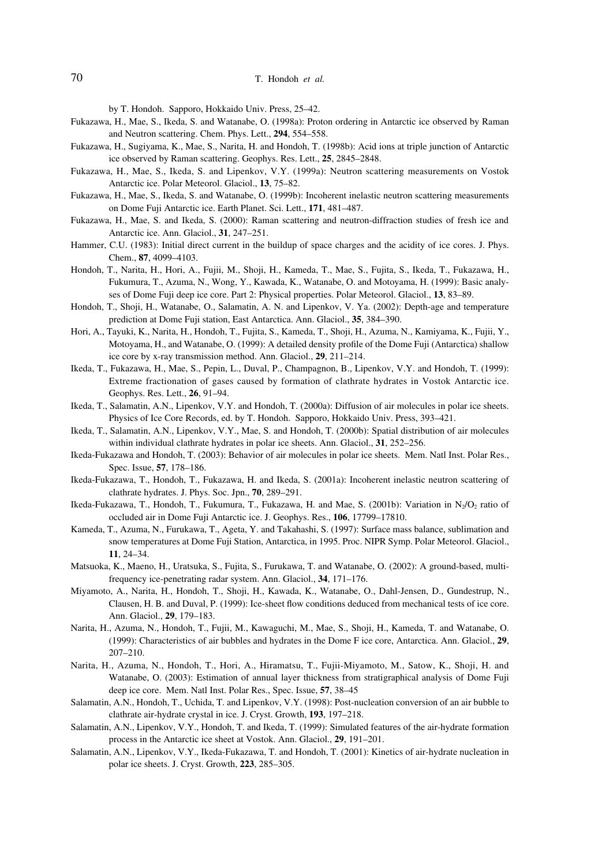by T. Hondoh. Sapporo, Hokkaido Univ. Press, 25–42.

- Fukazawa, H., Mae, S., Ikeda, S. and Watanabe, O. (1998a): Proton ordering in Antarctic ice observed by Raman and Neutron scattering. Chem. Phys. Lett., **294**, 554–558.
- Fukazawa, H., Sugiyama, K., Mae, S., Narita, H. and Hondoh, T. (1998b): Acid ions at triple junction of Antarctic ice observed by Raman scattering. Geophys. Res. Lett., **25**, 2845–2848.
- Fukazawa, H., Mae, S., Ikeda, S. and Lipenkov, V.Y. (1999a): Neutron scattering measurements on Vostok Antarctic ice. Polar Meteorol. Glaciol., **13**, 75–82.
- Fukazawa, H., Mae, S., Ikeda, S. and Watanabe, O. (1999b): Incoherent inelastic neutron scattering measurements on Dome Fuji Antarctic ice. Earth Planet. Sci. Lett., **171**, 481–487.
- Fukazawa, H., Mae, S. and Ikeda, S. (2000): Raman scattering and neutron-diffraction studies of fresh ice and Antarctic ice. Ann. Glaciol., **31**, 247–251.
- Hammer, C.U. (1983): Initial direct current in the buildup of space charges and the acidity of ice cores. J. Phys. Chem., **87**, 4099–4103.
- Hondoh, T., Narita, H., Hori, A., Fujii, M., Shoji, H., Kameda, T., Mae, S., Fujita, S., Ikeda, T., Fukazawa, H., Fukumura, T., Azuma, N., Wong, Y., Kawada, K., Watanabe, O. and Motoyama, H. (1999): Basic analyses of Dome Fuji deep ice core. Part 2: Physical properties. Polar Meteorol. Glaciol., **13**, 83–89.
- Hondoh, T., Shoji, H., Watanabe, O., Salamatin, A. N. and Lipenkov, V. Ya. (2002): Depth-age and temperature prediction at Dome Fuji station, East Antarctica. Ann. Glaciol., **35**, 384–390.
- Hori, A., Tayuki, K., Narita, H., Hondoh, T., Fujita, S., Kameda, T., Shoji, H., Azuma, N., Kamiyama, K., Fujii, Y., Motoyama, H., and Watanabe, O. (1999): A detailed density profile of the Dome Fuji (Antarctica) shallow ice core by x-ray transmission method. Ann. Glaciol., **29**, 211–214.
- Ikeda, T., Fukazawa, H., Mae, S., Pepin, L., Duval, P., Champagnon, B., Lipenkov, V.Y. and Hondoh, T. (1999): Extreme fractionation of gases caused by formation of clathrate hydrates in Vostok Antarctic ice. Geophys. Res. Lett., **26**, 91–94.
- Ikeda, T., Salamatin, A.N., Lipenkov, V.Y. and Hondoh, T. (2000a): Diffusion of air molecules in polar ice sheets. Physics of Ice Core Records, ed. by T. Hondoh. Sapporo, Hokkaido Univ. Press, 393–421.
- Ikeda, T., Salamatin, A.N., Lipenkov, V.Y., Mae, S. and Hondoh, T. (2000b): Spatial distribution of air molecules within individual clathrate hydrates in polar ice sheets. Ann. Glaciol., **31**, 252–256.
- Ikeda-Fukazawa and Hondoh, T. (2003): Behavior of air molecules in polar ice sheets. Mem. Natl Inst. Polar Res., Spec. Issue, **57**, 178–186.
- Ikeda-Fukazawa, T., Hondoh, T., Fukazawa, H. and Ikeda, S. (2001a): Incoherent inelastic neutron scattering of clathrate hydrates. J. Phys. Soc. Jpn., **70**, 289–291.
- Ikeda-Fukazawa, T., Hondoh, T., Fukumura, T., Fukazawa, H. and Mae, S. (2001b): Variation in N<sub>2</sub>/O<sub>2</sub> ratio of occluded air in Dome Fuji Antarctic ice. J. Geophys. Res., **106**, 17799–17810.
- Kameda, T., Azuma, N., Furukawa, T., Ageta, Y. and Takahashi, S. (1997): Surface mass balance, sublimation and snow temperatures at Dome Fuji Station, Antarctica, in 1995. Proc. NIPR Symp. Polar Meteorol. Glaciol., **11**, 24–34.
- Matsuoka, K., Maeno, H., Uratsuka, S., Fujita, S., Furukawa, T. and Watanabe, O. (2002): A ground-based, multifrequency ice-penetrating radar system. Ann. Glaciol., **34**, 171–176.
- Miyamoto, A., Narita, H., Hondoh, T., Shoji, H., Kawada, K., Watanabe, O., Dahl-Jensen, D., Gundestrup, N., Clausen, H. B. and Duval, P. (1999): Ice-sheet flow conditions deduced from mechanical tests of ice core. Ann. Glaciol., **29**, 179–183.
- Narita, H., Azuma, N., Hondoh, T., Fujii, M., Kawaguchi, M., Mae, S., Shoji, H., Kameda, T. and Watanabe, O. (1999): Characteristics of air bubbles and hydrates in the Dome F ice core, Antarctica. Ann. Glaciol., **29**, 207–210.
- Narita, H., Azuma, N., Hondoh, T., Hori, A., Hiramatsu, T., Fujii-Miyamoto, M., Satow, K., Shoji, H. and Watanabe, O. (2003): Estimation of annual layer thickness from stratigraphical analysis of Dome Fuji deep ice core. Mem. Natl Inst. Polar Res., Spec. Issue, **57**, 38–45
- Salamatin, A.N., Hondoh, T., Uchida, T. and Lipenkov, V.Y. (1998): Post-nucleation conversion of an air bubble to clathrate air-hydrate crystal in ice. J. Cryst. Growth, **193**, 197–218.
- Salamatin, A.N., Lipenkov, V.Y., Hondoh, T. and Ikeda, T. (1999): Simulated features of the air-hydrate formation process in the Antarctic ice sheet at Vostok. Ann. Glaciol., **29**, 191–201.
- Salamatin, A.N., Lipenkov, V.Y., Ikeda-Fukazawa, T. and Hondoh, T. (2001): Kinetics of air-hydrate nucleation in polar ice sheets. J. Cryst. Growth, **223**, 285–305.